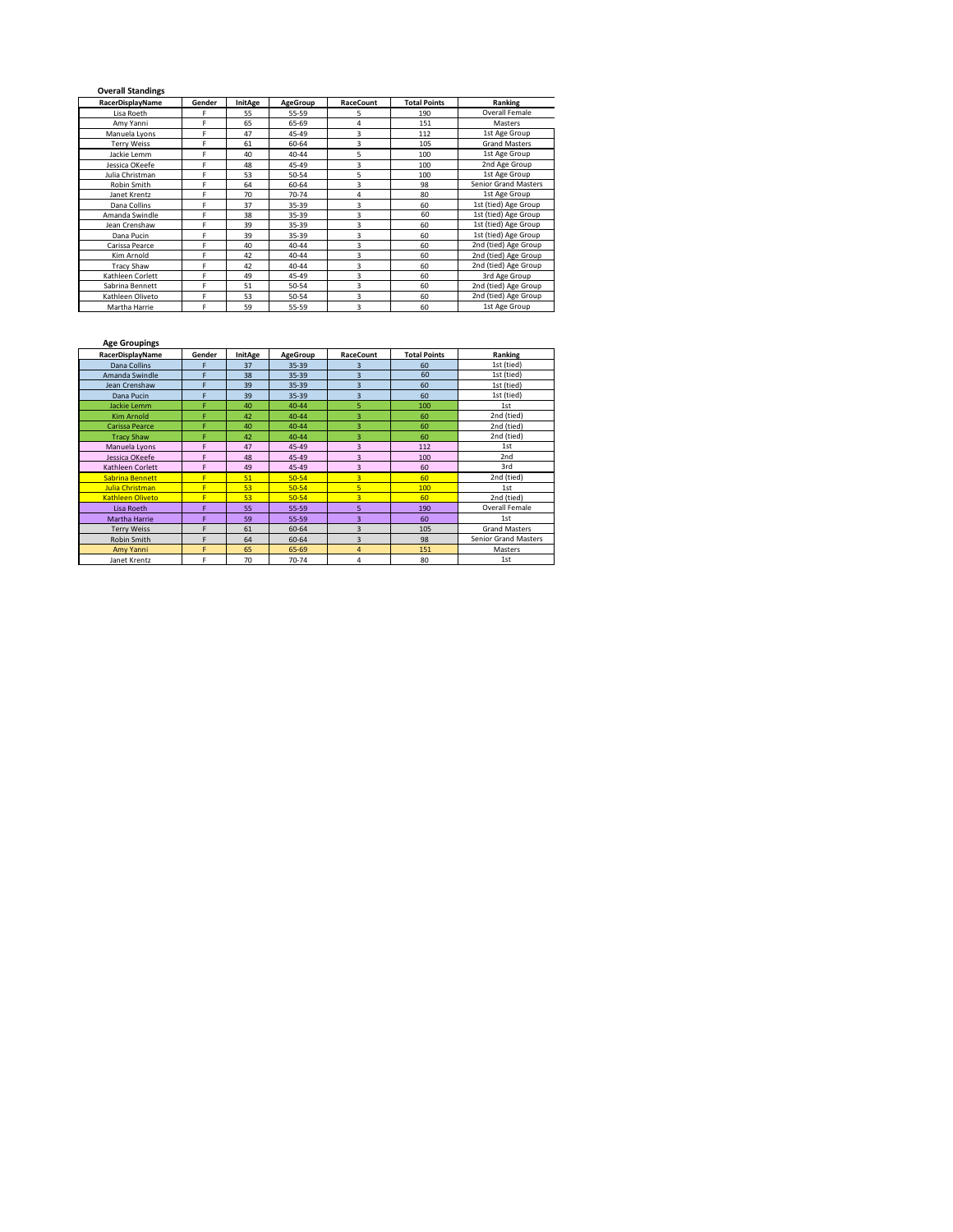## **Overall Standings**

 $\blacksquare$ 

| RacerDisplayName   | InitAge<br>RaceCount<br>Gender<br><b>AgeGroup</b> |    |                  |          | <b>Total Points</b>  | Ranking                     |  |  |
|--------------------|---------------------------------------------------|----|------------------|----------|----------------------|-----------------------------|--|--|
| Lisa Roeth         | F                                                 | 55 | 55-59            | 5        | 190                  | Overall Female              |  |  |
| Amy Yanni          | F                                                 | 65 | 65-69            | 4        | 151                  | Masters                     |  |  |
| Manuela Lyons      | F                                                 | 47 | 45-49            | 3        | 112                  | 1st Age Group               |  |  |
| <b>Terry Weiss</b> | F                                                 | 61 | 60-64            | 3        | 105                  | <b>Grand Masters</b>        |  |  |
| Jackie Lemm        | F                                                 | 40 | 40-44            | 5<br>100 |                      | 1st Age Group               |  |  |
| Jessica OKeefe     | F                                                 | 48 | 45-49            | 3        | 100                  | 2nd Age Group               |  |  |
| Julia Christman    | F                                                 | 53 | 50-54            | 5        | 100                  | 1st Age Group               |  |  |
| Robin Smith        | F                                                 | 64 | 60-64            | 3        | 98                   | <b>Senior Grand Masters</b> |  |  |
| Janet Krentz       | F                                                 | 70 | 70-74            | 4        | 80                   | 1st Age Group               |  |  |
| Dana Collins       | F                                                 | 37 | 35-39            | 3        | 60                   | 1st (tied) Age Group        |  |  |
| Amanda Swindle     | F                                                 | 38 | 35-39            | 3        |                      | 1st (tied) Age Group        |  |  |
| Jean Crenshaw      | F                                                 | 39 | 35-39            | 3        | 60                   | 1st (tied) Age Group        |  |  |
| Dana Pucin         | F                                                 | 39 | 35-39            | 3        | 60                   | 1st (tied) Age Group        |  |  |
| Carissa Pearce     | F                                                 | 40 | 40-44            | 3        | 60                   | 2nd (tied) Age Group        |  |  |
| Kim Arnold         | F                                                 | 42 | 40-44            | 3        | 60                   | 2nd (tied) Age Group        |  |  |
| <b>Tracy Shaw</b>  | F                                                 | 42 | 40-44            | 3        | 60                   | 2nd (tied) Age Group        |  |  |
| Kathleen Corlett   | F.                                                | 49 | 3<br>45-49<br>60 |          | 3rd Age Group        |                             |  |  |
| Sabrina Bennett    | F                                                 | 51 | 3<br>50-54<br>60 |          | 2nd (tied) Age Group |                             |  |  |
| Kathleen Oliveto   | F                                                 | 53 | 50-54            | 3        | 60                   | 2nd (tied) Age Group        |  |  |
| Martha Harrie      | F                                                 | 59 | 55-59            | 3        | 60                   | 1st Age Group               |  |  |

## **Age Groupings**

| RacerDisplayName        | Gender | InitAge | AgeGroup  | <b>Total Points</b><br>RaceCount |     | Ranking                     |  |  |
|-------------------------|--------|---------|-----------|----------------------------------|-----|-----------------------------|--|--|
| Dana Collins            | F      | 37      | $35 - 39$ | 3                                | 60  | 1st (tied)                  |  |  |
| Amanda Swindle          | F      | 38      | $35 - 39$ | $\overline{3}$                   | 60  | 1st (tied)                  |  |  |
| Jean Crenshaw           | F      | 39      | $35 - 39$ | $\overline{3}$                   | 60  | 1st (tied)                  |  |  |
| Dana Pucin              | F      | 39      | 35-39     | $\overline{3}$                   | 60  | 1st (tied)                  |  |  |
| Jackie Lemm             | F      | 40      | 40-44     | 5                                | 100 | 1st                         |  |  |
| <b>Kim Arnold</b>       | F      | 42      | $40 - 44$ | 3                                | 60  | 2nd (tied)                  |  |  |
| Carissa Pearce          | F      | 40      | 40-44     | 3                                | 60  | 2nd (tied)                  |  |  |
| <b>Tracy Shaw</b>       | F      | 42      | 40-44     | 3                                | 60  | 2nd (tied)                  |  |  |
| Manuela Lyons           | F      | 47      | 45-49     | 3                                | 112 | 1st                         |  |  |
| Jessica OKeefe          | F      | 48      | 45-49     | $\overline{3}$                   | 100 | 2nd                         |  |  |
| Kathleen Corlett        | F      | 49      | 45-49     | 3                                | 60  | 3rd                         |  |  |
| Sabrina Bennett         | F      | 51      | $50 - 54$ | $\overline{3}$                   | 60  | 2nd (tied)                  |  |  |
| Julia Christman         | F      | 53      | $50 - 54$ | 5                                | 100 | 1st                         |  |  |
| <b>Kathleen Oliveto</b> | F      | 53      | $50 - 54$ | 3                                | 60  | 2nd (tied)                  |  |  |
| Lisa Roeth              | F      | 55      | $55 - 59$ | 5                                | 190 | Overall Female              |  |  |
| Martha Harrie           | F      | 59      | $55 - 59$ | $\overline{\mathbf{3}}$          | 60  | 1st                         |  |  |
| <b>Terry Weiss</b>      | F      | 61      | 60-64     | $\overline{\mathbf{3}}$          | 105 | <b>Grand Masters</b>        |  |  |
| Robin Smith             | F      | 64      | 60-64     | $\overline{3}$                   | 98  | <b>Senior Grand Masters</b> |  |  |
| Amy Yanni               | F      | 65      | 65-69     | $\overline{4}$                   | 151 | Masters                     |  |  |
| Janet Krentz            | F      | 70      | 70-74     | 4                                | 80  | 1st                         |  |  |